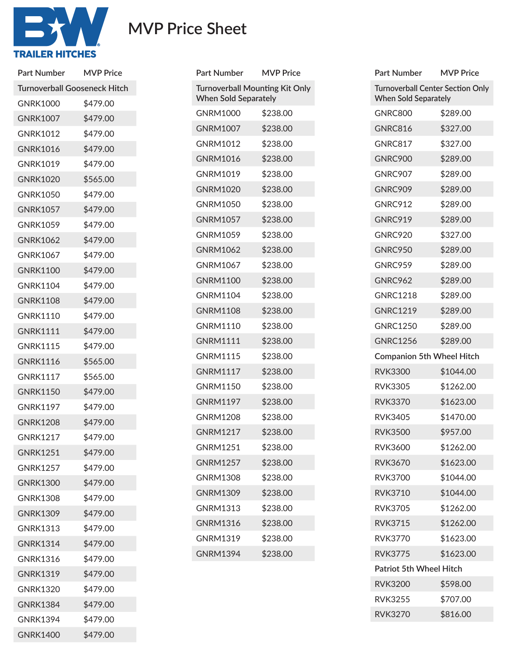

## **MVP Price Sheet**

| Part Number                         | <b>MVP Price</b> |  |
|-------------------------------------|------------------|--|
| <b>Turnoverball Gooseneck Hitch</b> |                  |  |
| <b>GNRK1000</b>                     | \$479.00         |  |
| <b>GNRK1007</b>                     | \$479.00         |  |
| <b>GNRK1012</b>                     | \$479.00         |  |
| <b>GNRK1016</b>                     | \$479.00         |  |
| <b>GNRK1019</b>                     | \$479.00         |  |
| <b>GNRK1020</b>                     | \$565.00         |  |
| <b>GNRK1050</b>                     | \$479.00         |  |
| <b>GNRK1057</b>                     | \$479.00         |  |
| <b>GNRK1059</b>                     | \$479.00         |  |
| <b>GNRK1062</b>                     | \$479.00         |  |
| <b>GNRK1067</b>                     | \$479.00         |  |
| <b>GNRK1100</b>                     | \$479.00         |  |
| <b>GNRK1104</b>                     | \$479.00         |  |
| <b>GNRK1108</b>                     | \$479.00         |  |
| <b>GNRK1110</b>                     | \$479.00         |  |
| <b>GNRK1111</b>                     | \$479.00         |  |
| <b>GNRK1115</b>                     | \$479.00         |  |
| <b>GNRK1116</b>                     | \$565.00         |  |
| <b>GNRK1117</b>                     | \$565.00         |  |
| <b>GNRK1150</b>                     | \$479.00         |  |
| <b>GNRK1197</b>                     | \$479.00         |  |
| <b>GNRK1208</b>                     | \$479.00         |  |
| <b>GNRK1217</b>                     | \$479.00         |  |
| <b>GNRK1251</b>                     | \$479.00         |  |
| <b>GNRK1257</b>                     | \$479.00         |  |
| <b>GNRK1300</b>                     | \$479.00         |  |
| <b>GNRK1308</b>                     | \$479.00         |  |
| <b>GNRK1309</b>                     | \$479.00         |  |
| <b>GNRK1313</b>                     | \$479.00         |  |
| <b>GNRK1314</b>                     | \$479.00         |  |
| <b>GNRK1316</b>                     | \$479.00         |  |
| <b>GNRK1319</b>                     | \$479.00         |  |
| <b>GNRK1320</b>                     | \$479.00         |  |
| <b>GNRK1384</b>                     | \$479.00         |  |
| <b>GNRK1394</b>                     | \$479.00         |  |
| <b>GNRK1400</b>                     | \$479.00         |  |

| <b>Part Number</b>                                                   | <b>MVP Price</b> |
|----------------------------------------------------------------------|------------------|
| <b>Turnoverball Mounting Kit Only</b><br><b>When Sold Separately</b> |                  |
| <b>GNRM1000</b>                                                      | \$238.00         |
| <b>GNRM1007</b>                                                      | \$238.00         |
| <b>GNRM1012</b>                                                      | \$238.00         |
| GNRM1016                                                             | \$238.00         |
| GNRM1019                                                             | \$238.00         |
| <b>GNRM1020</b>                                                      | \$238.00         |
| <b>GNRM1050</b>                                                      | \$238.00         |
| <b>GNRM1057</b>                                                      | \$238.00         |
| <b>GNRM1059</b>                                                      | \$238.00         |
| <b>GNRM1062</b>                                                      | \$238.00         |
| <b>GNRM1067</b>                                                      | \$238.00         |
| <b>GNRM1100</b>                                                      | \$238.00         |
| <b>GNRM1104</b>                                                      | \$238.00         |
| <b>GNRM1108</b>                                                      | \$238.00         |
| GNRM1110                                                             | \$238.00         |
| <b>GNRM1111</b>                                                      | \$238.00         |
| <b>GNRM1115</b>                                                      | \$238.00         |
| <b>GNRM1117</b>                                                      | \$238.00         |
| <b>GNRM1150</b>                                                      | \$238.00         |
| <b>GNRM1197</b>                                                      | \$238.00         |
| GNRM1208                                                             | \$238.00         |
| <b>GNRM1217</b>                                                      | \$238.00         |
| GNRM1251                                                             | \$238.00         |
| <b>GNRM1257</b>                                                      | \$238.00         |
| <b>GNRM1308</b>                                                      | \$238.00         |
| <b>GNRM1309</b>                                                      | \$238.00         |
| <b>GNRM1313</b>                                                      | \$238.00         |
| <b>GNRM1316</b>                                                      | \$238.00         |
| GNRM1319                                                             | \$238.00         |
| <b>GNRM1394</b>                                                      | \$238.00         |
|                                                                      |                  |

| <b>MVP Price</b>                                                       |  |  |
|------------------------------------------------------------------------|--|--|
| <b>Turnoverball Center Section Only</b><br><b>When Sold Separately</b> |  |  |
| \$289.00                                                               |  |  |
| \$327.00                                                               |  |  |
| \$327.00                                                               |  |  |
| \$289.00                                                               |  |  |
| \$289.00                                                               |  |  |
| \$289.00                                                               |  |  |
| \$289.00                                                               |  |  |
| \$289.00                                                               |  |  |
| \$327.00                                                               |  |  |
| \$289.00                                                               |  |  |
| \$289.00                                                               |  |  |
| \$289.00                                                               |  |  |
| \$289.00                                                               |  |  |
| \$289.00                                                               |  |  |
| \$289.00                                                               |  |  |
| \$289.00                                                               |  |  |
| <b>Companion 5th Wheel Hitch</b>                                       |  |  |
| \$1044.00                                                              |  |  |
| \$1262.00                                                              |  |  |
| \$1623.00                                                              |  |  |
| \$1470.00                                                              |  |  |
| \$957.00                                                               |  |  |
| \$1262.00                                                              |  |  |
| \$1623.00                                                              |  |  |
| \$1044.00                                                              |  |  |
| \$1044.00                                                              |  |  |
| \$1262.00                                                              |  |  |
| \$1262.00                                                              |  |  |
| \$1623.00                                                              |  |  |
| \$1623.00                                                              |  |  |
| <b>Patriot 5th Wheel Hitch</b>                                         |  |  |
| \$598.00                                                               |  |  |
| \$707.00                                                               |  |  |
| \$816.00                                                               |  |  |
|                                                                        |  |  |